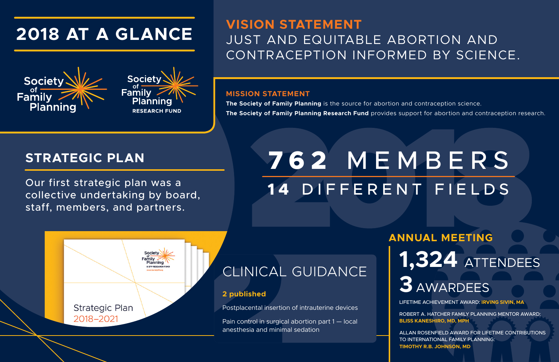# CLINICAL GUIDANCE

#### **2 published**

Postplacental insertion of intrauterine devices

Pain control in surgical abortion part 1 — local anesthesia and minimal sedation

# **ANNUAL MEETING**

LIFETIME ACHIEVEMENT AWARD: **IRVING SIVIN, MA**

ROBERT A. HATCHER FAMILY PLANNING MENTOR AWARD: **BLISS KANESHIRO, MD, MPH**

ALLAN ROSENFIELD AWARD FOR LIFETIME CONTRIBUTIONS TO INTERNATIONAL FAMILY PLANNING: **TIMOTHY R.B. JOHNSON, MD**



# **3** AWARDEES

# **1,324** ATTENDEES

# **762** MEMBERS **1 4** DIFFERENT FIELDS





# **VISION STATEMENT** JUST AND EQUITABLE ABORTION AND CONTRACEPTION INFORMED BY SCIENCE.

Our first strategic plan was a collective undertaking by board, staff, members, and partners.

### **STRATEGIC PLAN**

# **2018 AT A GLANCE**





#### **MISSION STATEMENT**

**The Society of Family Planning** is the source for abortion and contraception science. **The Society of Family Planning Research Fund** provides support for abortion and contraception research.